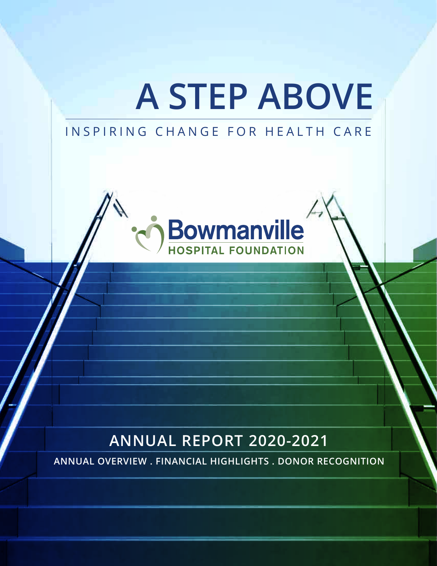# **A STEP ABOVE**

# INSPIRING CHANGE FOR HEALTH CARE



# **ANNUAL REPORT 2020-2021**

**ANNUAL OVERVIEW . FINANCIAL HIGHLIGHTS . DONOR RECOGNITION**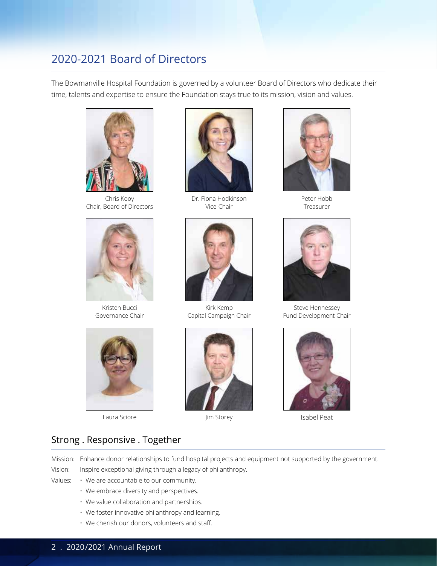## 2020-2021 Board of Directors

The Bowmanville Hospital Foundation is governed by a volunteer Board of Directors who dedicate their time, talents and expertise to ensure the Foundation stays true to its mission, vision and values.



Chris Kooy Chair, Board of Directors



Kristen Bucci Governance Chair



Laura Sciore Manuel Storey Jim Storey



Dr. Fiona Hodkinson Vice-Chair



Kirk Kemp Capital Campaign Chair





Peter Hobb Treasurer



Steve Hennessey Fund Development Chair



Isabel Peat

## Strong . Responsive . Together

Mission: Enhance donor relationships to fund hospital projects and equipment not supported by the government. Vision: Inspire exceptional giving through a legacy of philanthropy.

- Values: We are accountable to our community.
	- We embrace diversity and perspectives.
	- We value collaboration and partnerships.
	- We foster innovative philanthropy and learning.
	- We cherish our donors, volunteers and staff.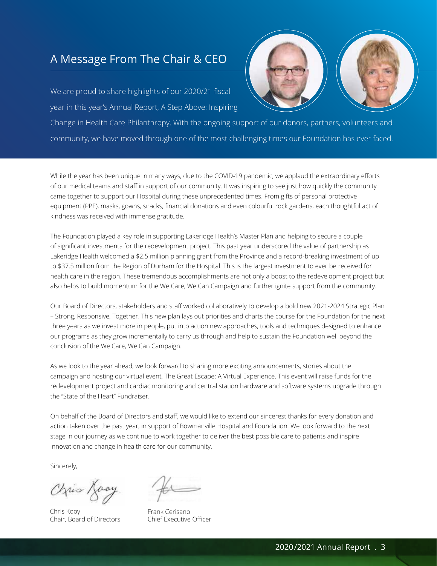## A Message From The Chair & CEO

We are proud to share highlights of our 2020/21 fiscal year in this year's Annual Report, A Step Above: Inspiring

Change in Health Care Philanthropy. With the ongoing support of our donors, partners, volunteers and community, we have moved through one of the most challenging times our Foundation has ever faced.

While the year has been unique in many ways, due to the COVID-19 pandemic, we applaud the extraordinary efforts of our medical teams and staff in support of our community. It was inspiring to see just how quickly the community came together to support our Hospital during these unprecedented times. From gifts of personal protective equipment (PPE), masks, gowns, snacks, financial donations and even colourful rock gardens, each thoughtful act of kindness was received with immense gratitude.

The Foundation played a key role in supporting Lakeridge Health's Master Plan and helping to secure a couple of significant investments for the redevelopment project. This past year underscored the value of partnership as Lakeridge Health welcomed a \$2.5 million planning grant from the Province and a record-breaking investment of up to \$37.5 million from the Region of Durham for the Hospital. This is the largest investment to ever be received for health care in the region. These tremendous accomplishments are not only a boost to the redevelopment project but also helps to build momentum for the We Care, We Can Campaign and further ignite support from the community.

Our Board of Directors, stakeholders and staff worked collaboratively to develop a bold new 2021-2024 Strategic Plan – Strong, Responsive, Together. This new plan lays out priorities and charts the course for the Foundation for the next three years as we invest more in people, put into action new approaches, tools and techniques designed to enhance our programs as they grow incrementally to carry us through and help to sustain the Foundation well beyond the conclusion of the We Care, We Can Campaign.

As we look to the year ahead, we look forward to sharing more exciting announcements, stories about the campaign and hosting our virtual event, The Great Escape: A Virtual Experience. This event will raise funds for the redevelopment project and cardiac monitoring and central station hardware and software systems upgrade through the "State of the Heart" Fundraiser.

On behalf of the Board of Directors and staff, we would like to extend our sincerest thanks for every donation and action taken over the past year, in support of Bowmanville Hospital and Foundation. We look forward to the next stage in our journey as we continue to work together to deliver the best possible care to patients and inspire innovation and change in health care for our community.

Sincerely,

Orris Loay

Chris Kooy Chris Kooy Chair, Board of Directors

Frank Cerisano Frank Cerisa Chief Executive Officer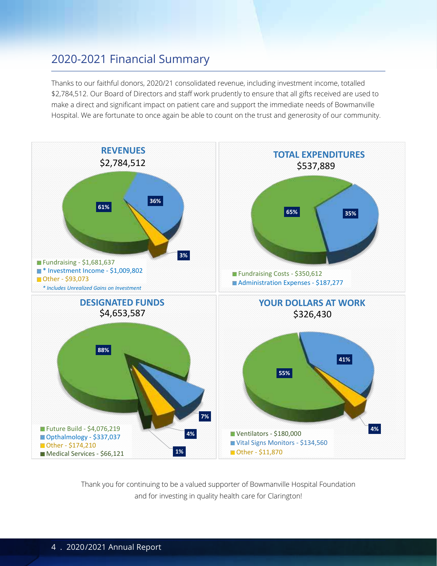## 2020-2021 Financial Summary

Thanks to our faithful donors, 2020/21 consolidated revenue, including investment income, totalled \$2,784,512. Our Board of Directors and staff work prudently to ensure that all gifts received are used to make a direct and significant impact on patient care and support the immediate needs of Bowmanville Hospital. We are fortunate to once again be able to count on the trust and generosity of our community.



Thank you for continuing to be a valued supporter of Bowmanville Hospital Foundation and for investing in quality health care for Clarington!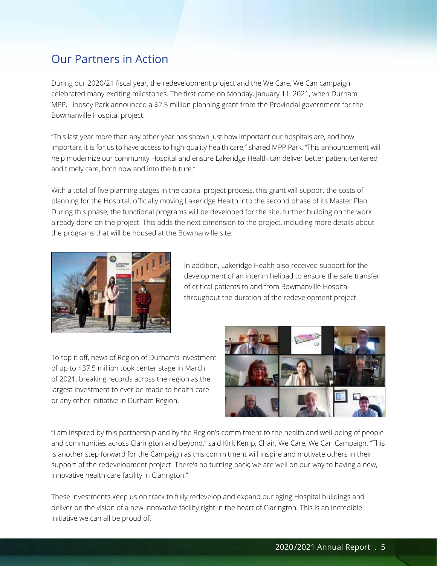## Our Partners in Action

During our 2020/21 fiscal year, the redevelopment project and the We Care, We Can campaign celebrated many exciting milestones. The first came on Monday, January 11, 2021, when Durham MPP, Lindsey Park announced a \$2.5 million planning grant from the Provincial government for the Bowmanville Hospital project.

"This last year more than any other year has shown just how important our hospitals are, and how important it is for us to have access to high-quality health care," shared MPP Park. "This announcement will help modernize our community Hospital and ensure Lakeridge Health can deliver better patient-centered and timely care, both now and into the future."

With a total of five planning stages in the capital project process, this grant will support the costs of planning for the Hospital, officially moving Lakeridge Health into the second phase of its Master Plan. During this phase, the functional programs will be developed for the site, further building on the work already done on the project. This adds the next dimension to the project, including more details about the programs that will be housed at the Bowmanville site.



In addition, Lakeridge Health also received support for the development of an interim helipad to ensure the safe transfer of critical patients to and from Bowmanville Hospital throughout the duration of the redevelopment project.

To top it off, news of Region of Durham's investment of up to \$37.5 million took center stage in March of 2021, breaking records across the region as the largest investment to ever be made to health care or any other initiative in Durham Region.



"I am inspired by this partnership and by the Region's commitment to the health and well-being of people and communities across Clarington and beyond," said Kirk Kemp, Chair, We Care, We Can Campaign. "This is another step forward for the Campaign as this commitment will inspire and motivate others in their support of the redevelopment project. There's no turning back; we are well on our way to having a new, innovative health care facility in Clarington."

These investments keep us on track to fully redevelop and expand our aging Hospital buildings and deliver on the vision of a new innovative facility right in the heart of Clarington. This is an incredible initiative we can all be proud of.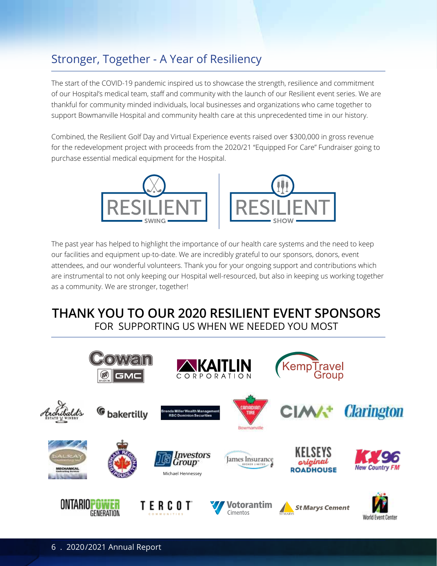# Stronger, Together - A Year of Resiliency

The start of the COVID-19 pandemic inspired us to showcase the strength, resilience and commitment of our Hospital's medical team, staff and community with the launch of our Resilient event series. We are thankful for community minded individuals, local businesses and organizations who came together to support Bowmanville Hospital and community health care at this unprecedented time in our history.

Combined, the Resilient Golf Day and Virtual Experience events raised over \$300,000 in gross revenue for the redevelopment project with proceeds from the 2020/21 "Equipped For Care" Fundraiser going to purchase essential medical equipment for the Hospital.



The past year has helped to highlight the importance of our health care systems and the need to keep our facilities and equipment up-to-date. We are incredibly grateful to our sponsors, donors, event attendees, and our wonderful volunteers. Thank you for your ongoing support and contributions which are instrumental to not only keeping our Hospital well-resourced, but also in keeping us working together as a community. We are stronger, together!

# **THANK YOU TO OUR 2020 RESILIENT EVENT SPONSORS** FOR SUPPORTING US WHEN WE NEEDED YOU MOST

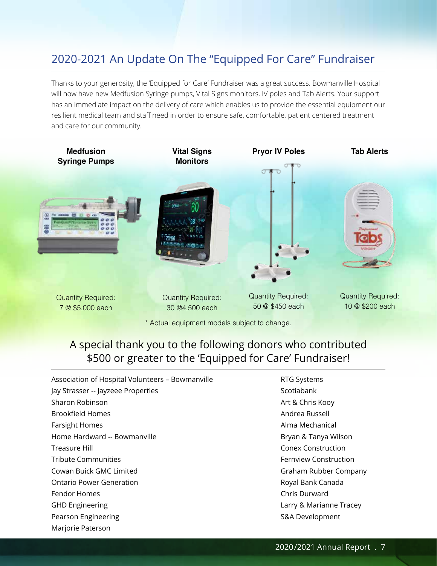# 2020-2021 An Update On The "Equipped For Care" Fundraiser

Thanks to your generosity, the 'Equipped for Care' Fundraiser was a great success. Bowmanville Hospital will now have new Medfusion Syringe pumps, Vital Signs monitors, IV poles and Tab Alerts. Your support has an immediate impact on the delivery of care which enables us to provide the essential equipment our resilient medical team and staff need in order to ensure safe, comfortable, patient centered treatment and care for our community.



## A special thank you to the following donors who contributed \$500 or greater to the 'Equipped for Care' Fundraiser!

Association of Hospital Volunteers – Bowmanville Jay Strasser -- Jayzeee Properties Sharon Robinson Brookfield Homes Farsight Homes Home Hardward -- Bowmanville Treasure Hill Tribute Communities Cowan Buick GMC Limited Ontario Power Generation Fendor Homes GHD Engineering Pearson Engineering Marjorie Paterson

RTG Systems Scotiabank Art & Chris Kooy Andrea Russell Alma Mechanical Bryan & Tanya Wilson Conex Construction Fernview Construction Graham Rubber Company Royal Bank Canada Chris Durward Larry & Marianne Tracey S&A Development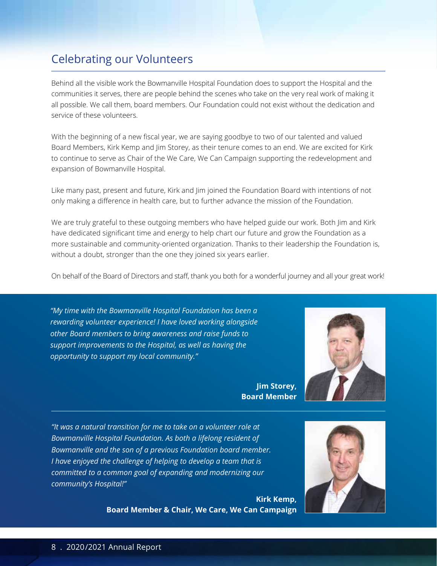# Celebrating our Volunteers

Behind all the visible work the Bowmanville Hospital Foundation does to support the Hospital and the communities it serves, there are people behind the scenes who take on the very real work of making it all possible. We call them, board members. Our Foundation could not exist without the dedication and service of these volunteers.

With the beginning of a new fiscal year, we are saying goodbye to two of our talented and valued Board Members, Kirk Kemp and Jim Storey, as their tenure comes to an end. We are excited for Kirk to continue to serve as Chair of the We Care, We Can Campaign supporting the redevelopment and expansion of Bowmanville Hospital.

Like many past, present and future, Kirk and Jim joined the Foundation Board with intentions of not only making a difference in health care, but to further advance the mission of the Foundation.

We are truly grateful to these outgoing members who have helped guide our work. Both Jim and Kirk have dedicated significant time and energy to help chart our future and grow the Foundation as a more sustainable and community-oriented organization. Thanks to their leadership the Foundation is, without a doubt, stronger than the one they joined six years earlier.

On behalf of the Board of Directors and staff, thank you both for a wonderful journey and all your great work!

*"My time with the Bowmanville Hospital Foundation has been a rewarding volunteer experience! I have loved working alongside other Board members to bring awareness and raise funds to support improvements to the Hospital, as well as having the opportunity to support my local community."*

> **Jim Storey, Board Member**



*"It was a natural transition for me to take on a volunteer role at Bowmanville Hospital Foundation. As both a lifelong resident of Bowmanville and the son of a previous Foundation board member. I have enjoyed the challenge of helping to develop a team that is committed to a common goal of expanding and modernizing our community's Hospital!"* 

> **Kirk Kemp, Board Member & Chair, We Care, We Can Campaign**

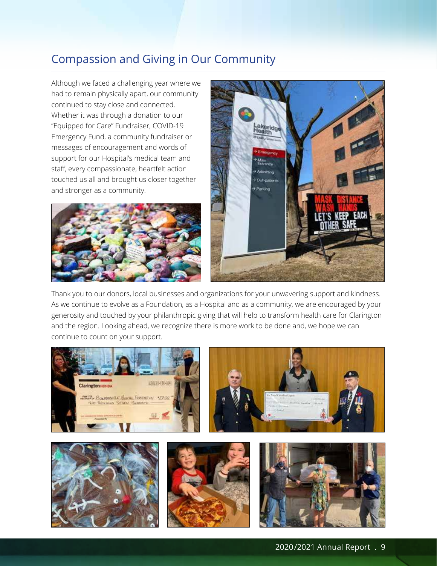# Compassion and Giving in Our Community

Although we faced a challenging year where we had to remain physically apart, our community continued to stay close and connected. Whether it was through a donation to our "Equipped for Care" Fundraiser, COVID-19 Emergency Fund, a community fundraiser or messages of encouragement and words of support for our Hospital's medical team and staff, every compassionate, heartfelt action touched us all and brought us closer together and stronger as a community.





Thank you to our donors, local businesses and organizations for your unwavering support and kindness. As we continue to evolve as a Foundation, as a Hospital and as a community, we are encouraged by your generosity and touched by your philanthropic giving that will help to transform health care for Clarington and the region. Looking ahead, we recognize there is more work to be done and, we hope we can continue to count on your support.

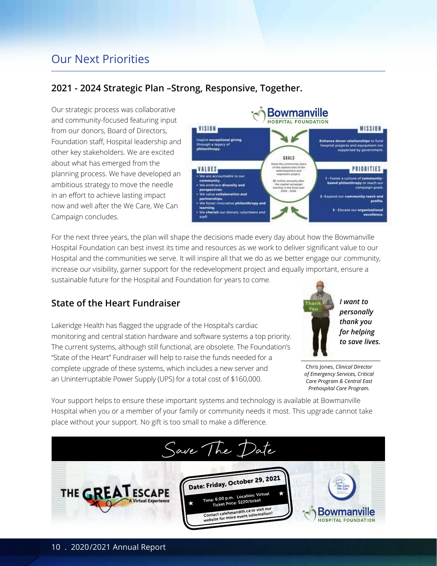# Our Next Priorities

## **2021 - 2024 Strategic Plan –Strong, Responsive, Together.**

Our strategic process was collaborative and community-focused featuring input from our donors, Board of Directors, Foundation staff, Hospital leadership and other key stakeholders. We are excited about what has emerged from the planning process. We have developed an ambitious strategy to move the needle in an effort to achieve lasting impact now and well after the We Care, We Can Campaign concludes.



For the next three years, the plan will shape the decisions made every day about how the Bowmanville Hospital Foundation can best invest its time and resources as we work to deliver significant value to our Hospital and the communities we serve. It will inspire all that we do as we better engage our community, increase our visibility, garner support for the redevelopment project and equally important, ensure a sustainable future for the Hospital and Foundation for years to come.

## **State of the Heart Fundraiser**

Lakeridge Health has flagged the upgrade of the Hospital's cardiac monitoring and central station hardware and software systems a top priority. The current systems, although still functional, are obsolete. The Foundation's "State of the Heart" Fundraiser will help to raise the funds needed for a complete upgrade of these systems, which includes a new server and an Uninterruptable Power Supply (UPS) for a total cost of \$160,000.



*I want to personally thank you for helping to save lives.*

Chris Jones, *Clinical Director of Emergency Services, Critical Care Program & Central East Prehospital Care Program.*

Your support helps to ensure these important systems and technology is available at Bowmanville Hospital when you or a member of your family or community needs it most. This upgrade cannot take place without your support. No gift is too small to make a difference.

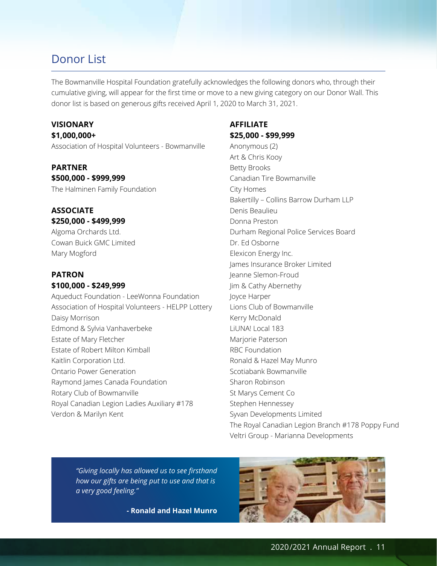The Bowmanville Hospital Foundation gratefully acknowledges the following donors who, through their cumulative giving, will appear for the first time or move to a new giving category on our Donor Wall. This donor list is based on generous gifts received April 1, 2020 to March 31, 2021.

## **VISIONARY**

**\$1,000,000+**

Association of Hospital Volunteers - Bowmanville

## **PARTNER \$500,000 - \$999,999**

The Halminen Family Foundation

#### **ASSOCIATE \$250,000 - \$499,999**

Algoma Orchards Ltd. Cowan Buick GMC Limited Mary Mogford

#### **PATRON \$100,000 - \$249,999**

Aqueduct Foundation - LeeWonna Foundation Association of Hospital Volunteers - HELPP Lottery Daisy Morrison Edmond & Sylvia Vanhaverbeke Estate of Mary Fletcher Estate of Robert Milton Kimball Kaitlin Corporation Ltd. Ontario Power Generation Raymond James Canada Foundation Rotary Club of Bowmanville Royal Canadian Legion Ladies Auxiliary #178 Verdon & Marilyn Kent

## **AFFILIATE \$25,000 - \$99,999**

Anonymous (2) Art & Chris Kooy Betty Brooks Canadian Tire Bowmanville City Homes Bakertilly – Collins Barrow Durham LLP Denis Beaulieu Donna Preston Durham Regional Police Services Board Dr. Ed Osborne Elexicon Energy Inc. James Insurance Broker Limited Jeanne Slemon-Froud Jim & Cathy Abernethy Joyce Harper Lions Club of Bowmanville Kerry McDonald LiUNA! Local 183 Marjorie Paterson RBC Foundation Ronald & Hazel May Munro Scotiabank Bowmanville Sharon Robinson St Marys Cement Co Stephen Hennessey Syvan Developments Limited The Royal Canadian Legion Branch #178 Poppy Fund Veltri Group - Marianna Developments

*"Giving locally has allowed us to see firsthand how our gifts are being put to use and that is a very good feeling."* 

**- Ronald and Hazel Munro**

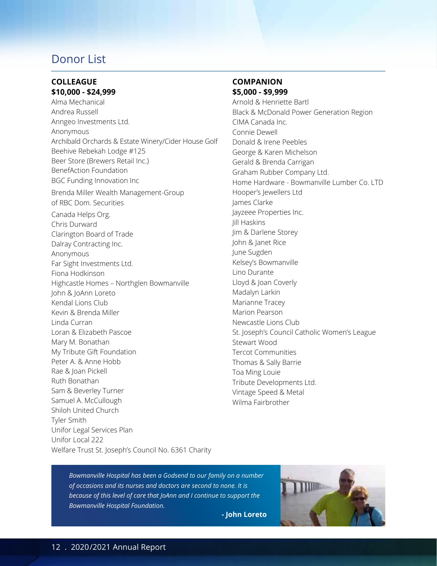#### **COLLEAGUE \$10,000 - \$24,999**

Alma Mechanical Andrea Russell Anngeo Investments Ltd. Anonymous Archibald Orchards & Estate Winery/Cider House Golf Beehive Rebekah Lodge #125 Beer Store (Brewers Retail Inc.) BenefAction Foundation BGC Funding Innovation Inc Brenda Miller Wealth Management-Group of RBC Dom. Securities Canada Helps Org. Chris Durward Clarington Board of Trade Dalray Contracting Inc. Anonymous Far Sight Investments Ltd. Fiona Hodkinson Highcastle Homes – Northglen Bowmanville John & JoAnn Loreto Kendal Lions Club Kevin & Brenda Miller Linda Curran Loran & Elizabeth Pascoe Mary M. Bonathan My Tribute Gift Foundation Peter A. & Anne Hobb Rae & Joan Pickell Ruth Bonathan Sam & Beverley Turner Samuel A. McCullough Shiloh United Church Tyler Smith Unifor Legal Services Plan Unifor Local 222 Welfare Trust St. Joseph's Council No. 6361 Charity

#### **COMPANION \$5,000 - \$9,999**

Arnold & Henriette Bartl Black & McDonald Power Generation Region CIMA Canada Inc. Connie Dewell Donald & Irene Peebles George & Karen Michelson Gerald & Brenda Carrigan Graham Rubber Company Ltd. Home Hardware - Bowmanville Lumber Co. LTD Hooper's Jewellers Ltd James Clarke Jayzeee Properties Inc. Jill Haskins Jim & Darlene Storey John & Janet Rice June Sugden Kelsey's Bowmanville Lino Durante Lloyd & Joan Coverly Madalyn Larkin Marianne Tracey Marion Pearson Newcastle Lions Club St. Joseph's Council Catholic Women's League Stewart Wood Tercot Communities Thomas & Sally Barrie Toa Ming Louie Tribute Developments Ltd. Vintage Speed & Metal Wilma Fairbrother

*Bowmanville Hospital has been a Godsend to our family on a number of occasions and its nurses and doctors are second to none. It is because of this level of care that JoAnn and I continue to support the Bowmanville Hospital Foundation.*

**- John Loreto**

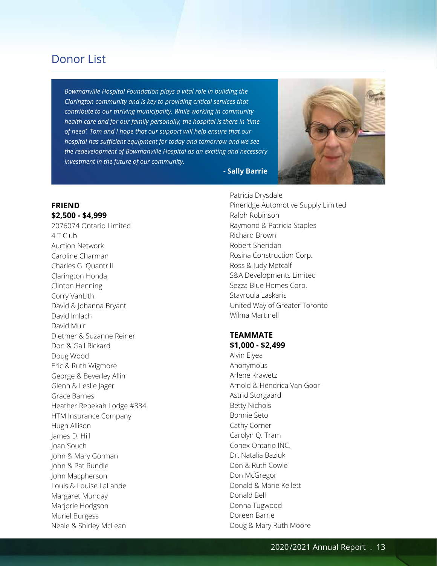*Bowmanville Hospital Foundation plays a vital role in building the Clarington community and is key to providing critical services that contribute to our thriving municipality. While working in community health care and for our family personally, the hospital is there in 'time of need'. Tom and I hope that our support will help ensure that our hospital has sufficient equipment for today and tomorrow and we see the redevelopment of Bowmanville Hospital as an exciting and necessary investment in the future of our community.*



**- Sally Barrie**

#### **FRIEND \$2,500 - \$4,999**

2076074 Ontario Limited 4 T Club Auction Network Caroline Charman Charles G. Quantrill Clarington Honda Clinton Henning Corry VanLith David & Johanna Bryant David Imlach David Muir Dietmer & Suzanne Reiner Don & Gail Rickard Doug Wood Eric & Ruth Wigmore George & Beverley Allin Glenn & Leslie Jager Grace Barnes Heather Rebekah Lodge #334 HTM Insurance Company Hugh Allison James D. Hill Joan Souch John & Mary Gorman John & Pat Rundle John Macpherson Louis & Louise LaLande Margaret Munday Marjorie Hodgson Muriel Burgess Neale & Shirley McLean

Patricia Drysdale Pineridge Automotive Supply Limited Ralph Robinson Raymond & Patricia Staples Richard Brown Robert Sheridan Rosina Construction Corp. Ross & Judy Metcalf S&A Developments Limited Sezza Blue Homes Corp. Stavroula Laskaris United Way of Greater Toronto Wilma Martinell

#### **TEAMMATE \$1,000 - \$2,499**

Alvin Elyea Anonymous Arlene Krawetz Arnold & Hendrica Van Goor Astrid Storgaard Betty Nichols Bonnie Seto Cathy Corner Carolyn Q. Tram Conex Ontario INC. Dr. Natalia Baziuk Don & Ruth Cowle Don McGregor Donald & Marie Kellett Donald Bell Donna Tugwood Doreen Barrie Doug & Mary Ruth Moore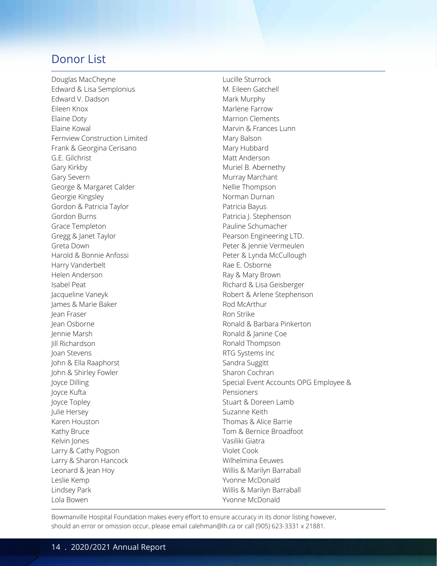Douglas MacCheyne Edward & Lisa Semplonius Edward V. Dadson Eileen Knox Elaine Doty Elaine Kowal Fernview Construction Limited Frank & Georgina Cerisano G.E. Gilchrist Gary Kirkby Gary Severn George & Margaret Calder Georgie Kingsley Gordon & Patricia Taylor Gordon Burns Grace Templeton Gregg & Janet Taylor Greta Down Harold & Bonnie Anfossi Harry Vanderbelt Helen Anderson Isabel Peat Jacqueline Vaneyk James & Marie Baker Jean Fraser Jean Osborne Jennie Marsh Jill Richardson Joan Stevens John & Ella Raaphorst John & Shirley Fowler Joyce Dilling Joyce Kufta Joyce Topley Julie Hersey Karen Houston Kathy Bruce Kelvin Jones Larry & Cathy Pogson Larry & Sharon Hancock Leonard & Jean Hoy Leslie Kemp Lindsey Park Lola Bowen

Lucille Sturrock M. Eileen Gatchell Mark Murphy Marlene Farrow Marrion Clements Marvin & Frances Lunn Mary Balson Mary Hubbard Matt Anderson Muriel B. Abernethy Murray Marchant Nellie Thompson Norman Durnan Patricia Bayus Patricia J. Stephenson Pauline Schumacher Pearson Engineering LTD. Peter & Jennie Vermeulen Peter & Lynda McCullough Rae E. Osborne Ray & Mary Brown Richard & Lisa Geisberger Robert & Arlene Stephenson Rod McArthur Ron Strike Ronald & Barbara Pinkerton Ronald & Janine Coe Ronald Thompson RTG Systems Inc Sandra Suggitt Sharon Cochran Special Event Accounts OPG Employee & Pensioners Stuart & Doreen Lamb Suzanne Keith Thomas & Alice Barrie Tom & Bernice Broadfoot Vasiliki Giatra Violet Cook Wilhelmina Eeuwes Willis & Marilyn Barraball Yvonne McDonald Willis & Marilyn Barraball Yvonne McDonald

Bowmanville Hospital Foundation makes every effort to ensure accuracy in its donor listing however, should an error or omission occur, please email calehman@lh.ca or call (905) 623-3331 x 21881.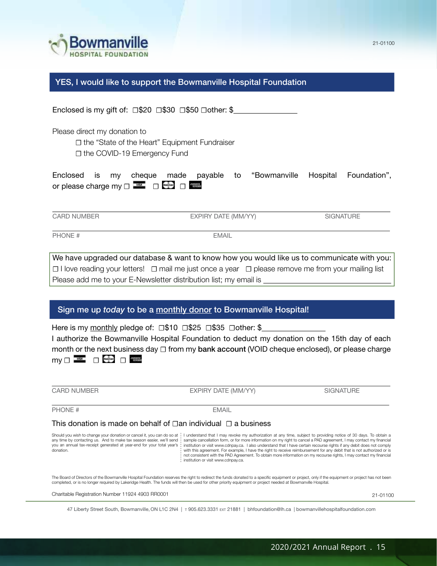

YES, I would like to support the Bowmanville Hospital Foundation

Enclosed is my gift of: <del></del> <del>□\$20 □\$30</del> □\$50 □other: \$

Please direct my donation to

☐ the "State of the Heart" Equipment Fundraiser

☐ the COVID-19 Emergency Fund

|                               |  |  |  | Enclosed is my cheque made payable to "Bowmanville Hospital Foundation", |  |
|-------------------------------|--|--|--|--------------------------------------------------------------------------|--|
| or please charge my $\square$ |  |  |  |                                                                          |  |

 $\overline{a}$ 

CARD NUMBER **EXPIRY DATE (MM/YY)** SIGNATURE

PHONE # EMAIL

 $\overline{a}$ 

We have upgraded our database & want to know how you would like us to communicate with you: ☐ I love reading your letters! ☐ mail me just once a year ☐ please remove me from your mailing list Please add me to your E-Newsletter distribution list; my email is

#### Sign me up today to be a monthly donor to Bowmanville Hospital!

Here is my monthly pledge of: <del></del> <del>□\$10</del> □\$25 □\$35 □other: \$ I authorize the Bowmanville Hospital Foundation to deduct my donation on the 15th day of each month or the next business day □ from my bank account (VOID cheque enclosed), or please charge my □ <del>■ □ □ ● □ ■ ■</del>

CARD NUMBER **EXPIRY DATE (MM/YY)** SIGNATURE

PHONE # EMAIL

 $\overline{a}$ 

 $\overline{a}$ 

#### This donation is made on behalf of  $□$ an individual  $□$  a business

Should you wish to change your donation or cancel it, you can do so at I understand that I may revoke my authorization at any time, subject to providing notice of 30 days. To obtain a any time by contacting us. And to make tax season easier, we'll send : sample cancellation form, or for more information on my right to cancel a PAD agreement, I may contact my financial institution or visit www.cdnpay.ca. I also understand that I have certain recourse rights if any debit does not comply with this agreement. For example, I have the right to receive reimbursement for any debit that is not authorized or is not consistent with the PAD Agreement. To obtain more information on my recourse rights, I may contact my financial : institution or visit www.cdnpay.ca. you an annual tax-receipt generated at year-end for your total year's : donation.

The Board of Directors of the Bowmanville Hospital Foundation reserves the right to redirect the funds donated to a specific equipment or project, only if the equipment or project has not been completed, or is no longer required by Lakeridge Health. The funds will then be used for other priority equipment or project needed at Bowmanville Hospital.

Charitable Registration Number 11924 4903 RR0001

47 Liberty Street South, Bowmanville, ON L1C 2N4 |  $\tau$  905.623.3331 Ext 21881 | bhfoundation@lh.ca | bowmanvillehospitalfoundation.com